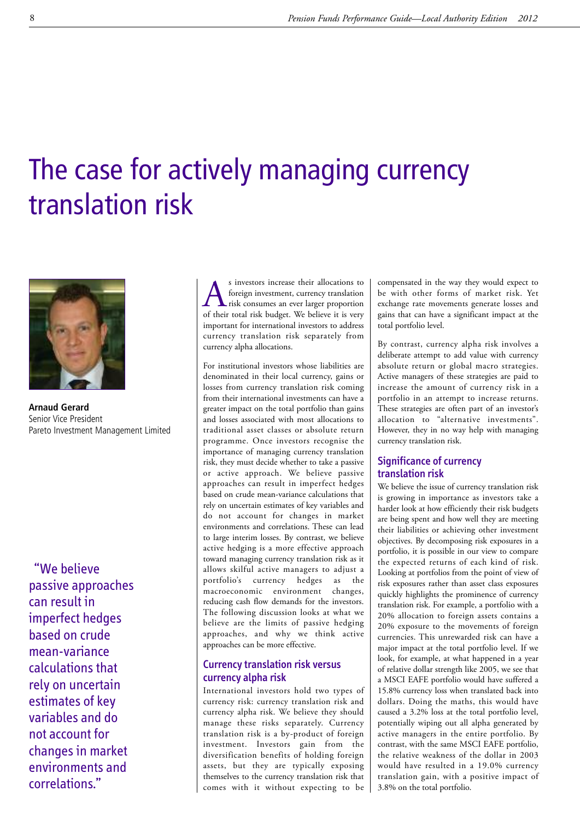# The case for actively managing currency translation risk



**Arnaud Gerard** Senior Vice President Pareto Investment Management Limited

"We believe passive approaches can result in imperfect hedges based on crude mean-variance calculations that rely on uncertain estimates of key variables and do not account for changes in market environments and correlations."

s investors increase their allocations to<br>foreign investment, currency translation<br>of their total risk budget. We believe it is very foreign investment, currency translation of their total risk budget. We believe it is very important for international investors to address currency translation risk separately from currency alpha allocations.

For institutional investors whose liabilities are denominated in their local currency, gains or losses from currency translation risk coming from their international investments can have a greater impact on the total portfolio than gains and losses associated with most allocations to traditional asset classes or absolute return programme. Once investors recognise the importance of managing currency translation risk, they must decide whether to take a passive or active approach. We believe passive approaches can result in imperfect hedges based on crude mean-variance calculations that rely on uncertain estimates of key variables and do not account for changes in market environments and correlations. These can lead to large interim losses. By contrast, we believe active hedging is a more effective approach toward managing currency translation risk as it allows skilful active managers to adjust a portfolio's currency hedges as the macroeconomic environment changes, reducing cash flow demands for the investors. The following discussion looks at what we believe are the limits of passive hedging approaches, and why we think active approaches can be more effective.

## Currency translation risk versus currency alpha risk

International investors hold two types of currency risk: currency translation risk and currency alpha risk. We believe they should manage these risks separately. Currency translation risk is a by-product of foreign investment. Investors gain from the diversification benefits of holding foreign assets, but they are typically exposing themselves to the currency translation risk that comes with it without expecting to be compensated in the way they would expect to be with other forms of market risk. Yet exchange rate movements generate losses and gains that can have a significant impact at the total portfolio level.

By contrast, currency alpha risk involves a deliberate attempt to add value with currency absolute return or global macro strategies. Active managers of these strategies are paid to increase the amount of currency risk in a portfolio in an attempt to increase returns. These strategies are often part of an investor's allocation to "alternative investments". However, they in no way help with managing currency translation risk.

## Significance of currency translation risk

We believe the issue of currency translation risk is growing in importance as investors take a harder look at how efficiently their risk budgets are being spent and how well they are meeting their liabilities or achieving other investment objectives. By decomposing risk exposures in a portfolio, it is possible in our view to compare the expected returns of each kind of risk. Looking at portfolios from the point of view of risk exposures rather than asset class exposures quickly highlights the prominence of currency translation risk. For example, a portfolio with a 20% allocation to foreign assets contains a 20% exposure to the movements of foreign currencies. This unrewarded risk can have a major impact at the total portfolio level. If we look, for example, at what happened in a year of relative dollar strength like 2005, we see that a MSCI EAFE portfolio would have suffered a 15.8% currency loss when translated back into dollars. Doing the maths, this would have caused a 3.2% loss at the total portfolio level, potentially wiping out all alpha generated by active managers in the entire portfolio. By contrast, with the same MSCI EAFE portfolio, the relative weakness of the dollar in 2003 would have resulted in a 19.0% currency translation gain, with a positive impact of 3.8% on the total portfolio.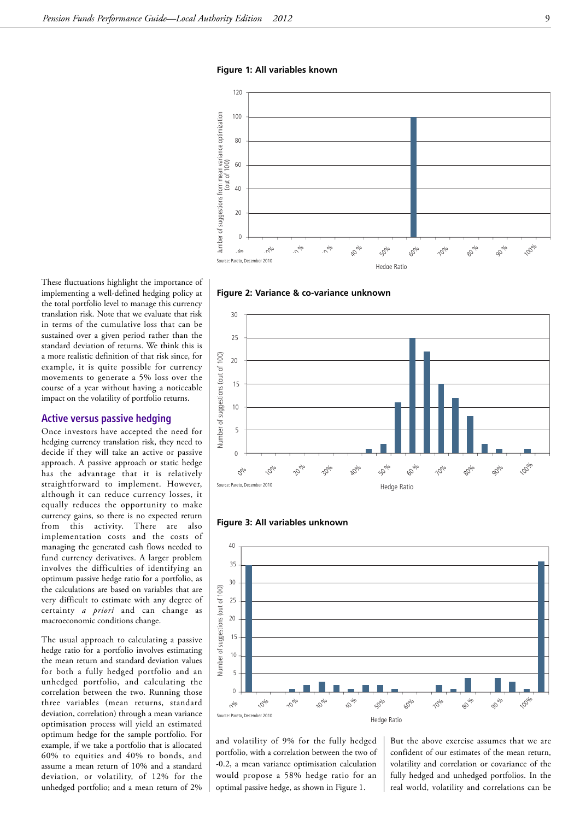**Figure 1: All variables known**



**Figure 2: Variance & co-variance unknown**

These fluctuations highlight the importance of implementing a well-defined hedging policy at the total portfolio level to manage this currency translation risk. Note that we evaluate that risk in terms of the cumulative loss that can be sustained over a given period rather than the standard deviation of returns. We think this is a more realistic definition of that risk since, for example, it is quite possible for currency movements to generate a 5% loss over the course of a year without having a noticeable impact on the volatility of portfolio returns.

#### Active versus passive hedging

Once investors have accepted the need for hedging currency translation risk, they need to decide if they will take an active or passive approach. A passive approach or static hedge has the advantage that it is relatively straightforward to implement. However, although it can reduce currency losses, it equally reduces the opportunity to make currency gains, so there is no expected return from this activity. There are also implementation costs and the costs of managing the generated cash flows needed to fund currency derivatives. A larger problem involves the difficulties of identifying an optimum passive hedge ratio for a portfolio, as the calculations are based on variables that are very difficult to estimate with any degree of certainty *a priori* and can change as macroeconomic conditions change.

The usual approach to calculating a passive hedge ratio for a portfolio involves estimating the mean return and standard deviation values for both a fully hedged portfolio and an unhedged portfolio, and calculating the correlation between the two. Running those three variables (mean returns, standard deviation, correlation) through a mean variance optimisation process will yield an estimated optimum hedge for the sample portfolio. For example, if we take a portfolio that is allocated 60% to equities and 40% to bonds, and assume a mean return of 10% and a standard deviation, or volatility, of 12% for the unhedged portfolio; and a mean return of 2%







and volatility of 9% for the fully hedged portfolio, with a correlation between the two of -0.2, a mean variance optimisation calculation would propose a 58% hedge ratio for an optimal passive hedge, as shown in Figure 1.

But the above exercise assumes that we are confident of our estimates of the mean return, volatility and correlation or covariance of the fully hedged and unhedged portfolios. In the real world, volatility and correlations can be